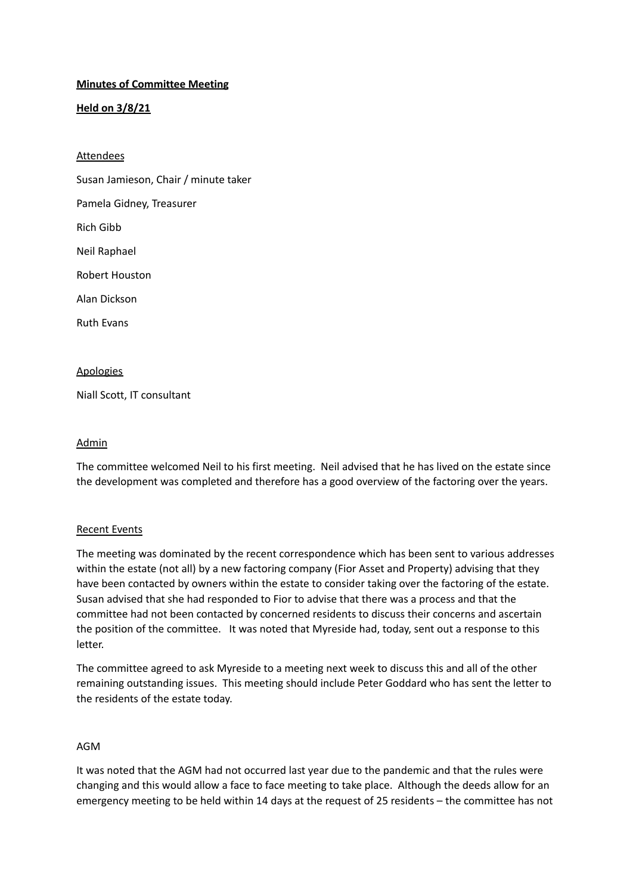## **Minutes of Committee Meeting**

## **Held on 3/8/21**

#### Attendees

Susan Jamieson, Chair / minute taker

Pamela Gidney, Treasurer

Rich Gibb

Neil Raphael

Robert Houston

Alan Dickson

Ruth Evans

## **Apologies**

Niall Scott, IT consultant

#### Admin

The committee welcomed Neil to his first meeting. Neil advised that he has lived on the estate since the development was completed and therefore has a good overview of the factoring over the years.

### Recent Events

The meeting was dominated by the recent correspondence which has been sent to various addresses within the estate (not all) by a new factoring company (Fior Asset and Property) advising that they have been contacted by owners within the estate to consider taking over the factoring of the estate. Susan advised that she had responded to Fior to advise that there was a process and that the committee had not been contacted by concerned residents to discuss their concerns and ascertain the position of the committee. It was noted that Myreside had, today, sent out a response to this letter.

The committee agreed to ask Myreside to a meeting next week to discuss this and all of the other remaining outstanding issues. This meeting should include Peter Goddard who has sent the letter to the residents of the estate today.

### AGM

It was noted that the AGM had not occurred last year due to the pandemic and that the rules were changing and this would allow a face to face meeting to take place. Although the deeds allow for an emergency meeting to be held within 14 days at the request of 25 residents – the committee has not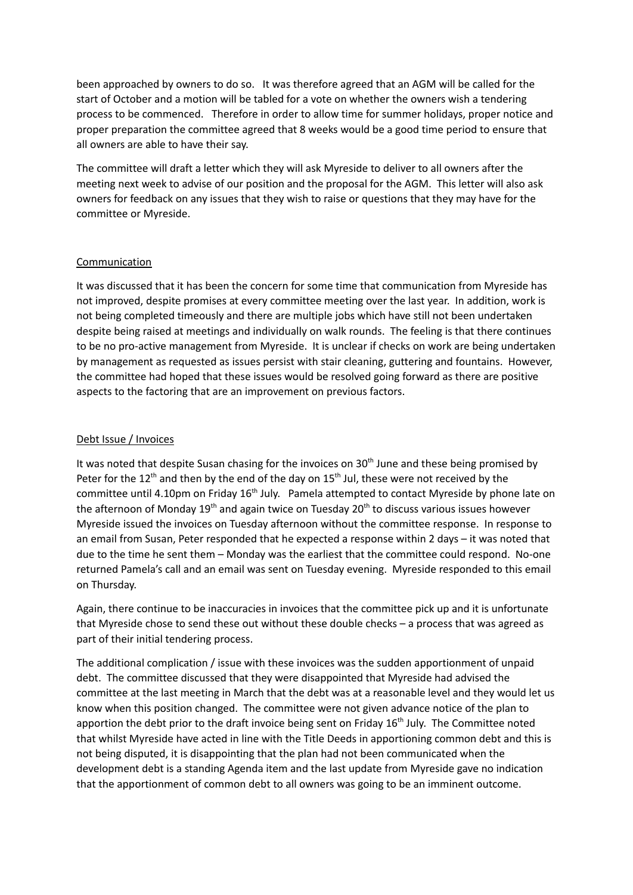been approached by owners to do so. It was therefore agreed that an AGM will be called for the start of October and a motion will be tabled for a vote on whether the owners wish a tendering process to be commenced. Therefore in order to allow time for summer holidays, proper notice and proper preparation the committee agreed that 8 weeks would be a good time period to ensure that all owners are able to have their say.

The committee will draft a letter which they will ask Myreside to deliver to all owners after the meeting next week to advise of our position and the proposal for the AGM. This letter will also ask owners for feedback on any issues that they wish to raise or questions that they may have for the committee or Myreside.

### **Communication**

It was discussed that it has been the concern for some time that communication from Myreside has not improved, despite promises at every committee meeting over the last year. In addition, work is not being completed timeously and there are multiple jobs which have still not been undertaken despite being raised at meetings and individually on walk rounds. The feeling is that there continues to be no pro-active management from Myreside. It is unclear if checks on work are being undertaken by management as requested as issues persist with stair cleaning, guttering and fountains. However, the committee had hoped that these issues would be resolved going forward as there are positive aspects to the factoring that are an improvement on previous factors.

## Debt Issue / Invoices

It was noted that despite Susan chasing for the invoices on 30<sup>th</sup> June and these being promised by Peter for the 12<sup>th</sup> and then by the end of the day on 15<sup>th</sup> Jul, these were not received by the committee until 4.10pm on Friday 16<sup>th</sup> July. Pamela attempted to contact Myreside by phone late on the afternoon of Monday 19<sup>th</sup> and again twice on Tuesday 20<sup>th</sup> to discuss various issues however Myreside issued the invoices on Tuesday afternoon without the committee response. In response to an email from Susan, Peter responded that he expected a response within 2 days – it was noted that due to the time he sent them – Monday was the earliest that the committee could respond. No-one returned Pamela's call and an email was sent on Tuesday evening. Myreside responded to this email on Thursday.

Again, there continue to be inaccuracies in invoices that the committee pick up and it is unfortunate that Myreside chose to send these out without these double checks – a process that was agreed as part of their initial tendering process.

The additional complication / issue with these invoices was the sudden apportionment of unpaid debt. The committee discussed that they were disappointed that Myreside had advised the committee at the last meeting in March that the debt was at a reasonable level and they would let us know when this position changed. The committee were not given advance notice of the plan to apportion the debt prior to the draft invoice being sent on Friday 16<sup>th</sup> July. The Committee noted that whilst Myreside have acted in line with the Title Deeds in apportioning common debt and this is not being disputed, it is disappointing that the plan had not been communicated when the development debt is a standing Agenda item and the last update from Myreside gave no indication that the apportionment of common debt to all owners was going to be an imminent outcome.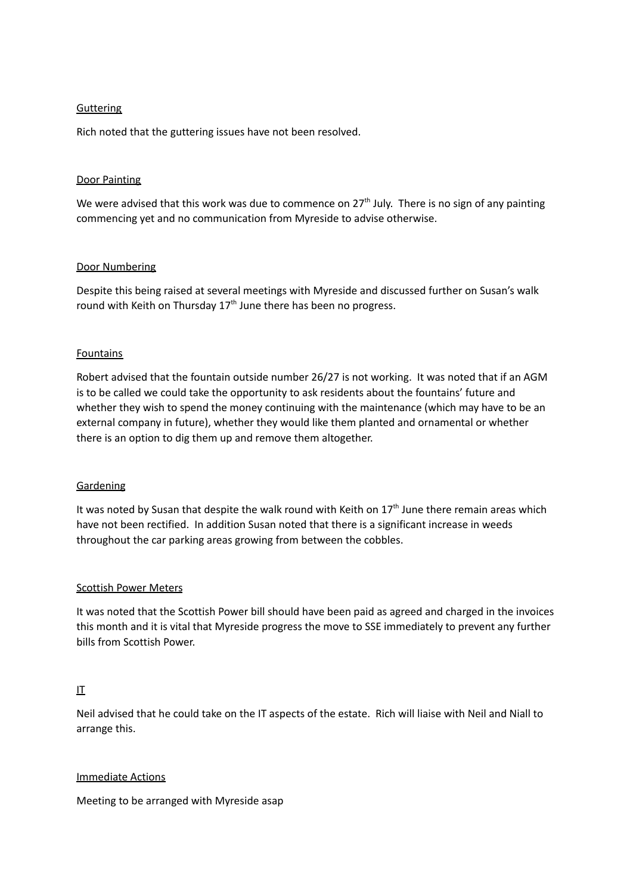### **Guttering**

Rich noted that the guttering issues have not been resolved.

### Door Painting

We were advised that this work was due to commence on  $27<sup>th</sup>$  July. There is no sign of any painting commencing yet and no communication from Myreside to advise otherwise.

### Door Numbering

Despite this being raised at several meetings with Myreside and discussed further on Susan's walk round with Keith on Thursday 17<sup>th</sup> June there has been no progress.

### Fountains

Robert advised that the fountain outside number 26/27 is not working. It was noted that if an AGM is to be called we could take the opportunity to ask residents about the fountains' future and whether they wish to spend the money continuing with the maintenance (which may have to be an external company in future), whether they would like them planted and ornamental or whether there is an option to dig them up and remove them altogether.

### Gardening

It was noted by Susan that despite the walk round with Keith on  $17<sup>th</sup>$  June there remain areas which have not been rectified. In addition Susan noted that there is a significant increase in weeds throughout the car parking areas growing from between the cobbles.

### Scottish Power Meters

It was noted that the Scottish Power bill should have been paid as agreed and charged in the invoices this month and it is vital that Myreside progress the move to SSE immediately to prevent any further bills from Scottish Power.

# IT

Neil advised that he could take on the IT aspects of the estate. Rich will liaise with Neil and Niall to arrange this.

### Immediate Actions

Meeting to be arranged with Myreside asap